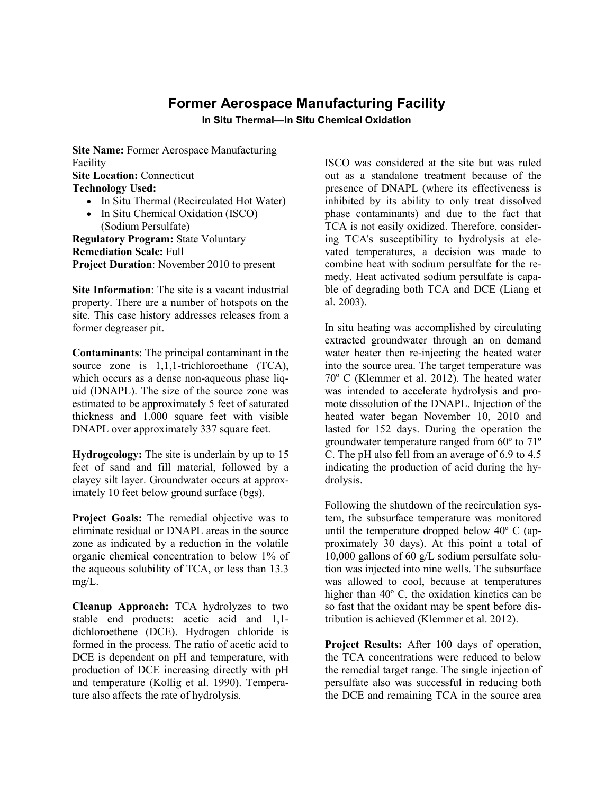## **Former Aerospace Manufacturing Facility**

**In Situ Thermal—In Situ Chemical Oxidation**

**Site Name:** Former Aerospace Manufacturing Facility

**Site Location:** Connecticut

**Technology Used:**

- In Situ Thermal (Recirculated Hot Water)
- In Situ Chemical Oxidation (ISCO) (Sodium Persulfate)

**Regulatory Program:** State Voluntary **Remediation Scale:** Full **Project Duration**: November 2010 to present

**Site Information**: The site is a vacant industrial property. There are a number of hotspots on the site. This case history addresses releases from a former degreaser pit.

**Contaminants**: The principal contaminant in the source zone is 1,1,1-trichloroethane (TCA), which occurs as a dense non-aqueous phase liquid (DNAPL). The size of the source zone was estimated to be approximately 5 feet of saturated thickness and 1,000 square feet with visible DNAPL over approximately 337 square feet.

**Hydrogeology:** The site is underlain by up to 15 feet of sand and fill material, followed by a clayey silt layer. Groundwater occurs at approximately 10 feet below ground surface (bgs).

**Project Goals:** The remedial objective was to eliminate residual or DNAPL areas in the source zone as indicated by a reduction in the volatile organic chemical concentration to below 1% of the aqueous solubility of TCA, or less than 13.3 mg/L.

**Cleanup Approach:** TCA hydrolyzes to two stable end products: acetic acid and 1,1 dichloroethene (DCE). Hydrogen chloride is formed in the process. The ratio of acetic acid to DCE is dependent on pH and temperature, with production of DCE increasing directly with pH and temperature (Kollig et al. 1990). Temperature also affects the rate of hydrolysis.

ISCO was considered at the site but was ruled out as a standalone treatment because of the presence of DNAPL (where its effectiveness is inhibited by its ability to only treat dissolved phase contaminants) and due to the fact that TCA is not easily oxidized. Therefore, considering TCA's susceptibility to hydrolysis at elevated temperatures, a decision was made to combine heat with sodium persulfate for the remedy. Heat activated sodium persulfate is capable of degrading both TCA and DCE (Liang et al. 2003).

In situ heating was accomplished by circulating extracted groundwater through an on demand water heater then re-injecting the heated water into the source area. The target temperature was  $70^{\circ}$  C (Klemmer et al. 2012). The heated water was intended to accelerate hydrolysis and promote dissolution of the DNAPL. Injection of the heated water began November 10, 2010 and lasted for 152 days. During the operation the groundwater temperature ranged from 60º to 71º C. The pH also fell from an average of 6.9 to 4.5 indicating the production of acid during the hydrolysis.

Following the shutdown of the recirculation system, the subsurface temperature was monitored until the temperature dropped below 40º C (approximately 30 days). At this point a total of 10,000 gallons of 60 g/L sodium persulfate solution was injected into nine wells. The subsurface was allowed to cool, because at temperatures higher than 40<sup>°</sup> C, the oxidation kinetics can be so fast that the oxidant may be spent before distribution is achieved (Klemmer et al. 2012).

**Project Results:** After 100 days of operation, the TCA concentrations were reduced to below the remedial target range. The single injection of persulfate also was successful in reducing both the DCE and remaining TCA in the source area